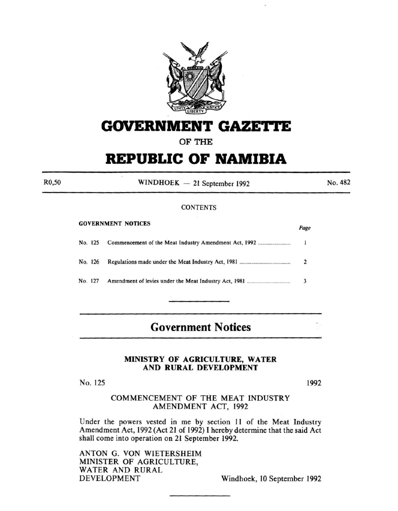

# **GOVERNMENT GAZETTE**

**OF THE** 

# **REPUBLIC OF NAMIBIA**

WINDHOEK - 21 September 1992

No. 482

## **CONTENTS**

| <b>GOVERNMENT NOTICES</b> |         |  | Page           |
|---------------------------|---------|--|----------------|
|                           |         |  |                |
|                           | No. 126 |  | $\overline{2}$ |
|                           | No. 127 |  | 3              |
|                           |         |  |                |

# **Government Notices**

## **MINISTRY OF AGRICULTURE, WATER AND RURAL DEVELOPMENT**

No. 125

GOVERNMENT NOTICES

R0,50

1992

# COMMENCEMENT OF THE MEAT INDUSTRY AMENDMENT ACT, 1992

Under the powers vested in me by section II of the Meat Industry Amendment Act, 1992 (Act 21 of 1992) I hereby determine that the said Act shall come into operation on 21 September 1992.

ANTON G. VON WIETERSHEIM MINISTER OF AGRICULTURE, WATER AND RURAL DEVELOPMENT Windhoek, 10 September 1992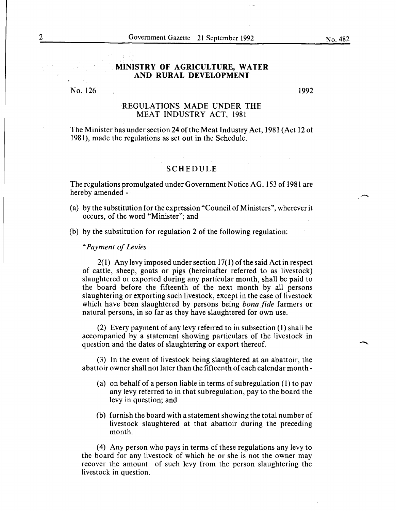# **MINISTRY OF AGRICULTURE, WATER AND RURAL DEVELOPMENT**

No. 126

1992

### REGULATIONS MADE UNDER THE MEAT INDUSTRY ACT, 1981

The Minister has under section 24 of the Meat Industry Act, 1981 (Act 12 of 1981), made the regulations as set out in the Schedule.

#### SCHEDULE

The regulations promulgated under Government Notice AG. 153 of 1981 are hereby amended -

- (a) by the substitution for the expression "Council of Ministers", wherever it occurs, of the word "Minister"; and
- (b) by the substitution for regulation 2 of the following regulation:

*"Payment of Levies* 

 $2(1)$  Any levy imposed under section 17(1) of the said Act in respect of cattle, sheep, goats or pigs (hereinafter referred to as livestock) slaughtered or exported during any particular month, shall be paid to the board before the fifteenth of the next month by all persons slaughtering or exporting such livestock, except in the case of livestock which have been slaughtered by persons being *bona fide* farmers or natural persons, in so far as they have slaughtered for own use.

(2) Every payment of any levy referred to in subsection (1) shall be accompanied by a statement showing particulars of the livestock in question and the dates of slaughtering or export thereof.

(3) In the event of livestock being slaughtered at an abattoir, the abattoir owner shall not later than the fifteenth of each calendar month-

- (a) on behalf of a person liable in terms of subregulation (1) to pay any levy referred to in that subregulation, pay to the board the levy in question; and
- (b) furnish the board with a statement showing the total number of livestock slaughtered at that abattoir during the preceding month.

( 4) Any person who pays in terms of these regulations any levy to the board for any livestock of which he or she is not the owner may recover the amount of such levy from the person slaughtering the livestock in question.

No. 482